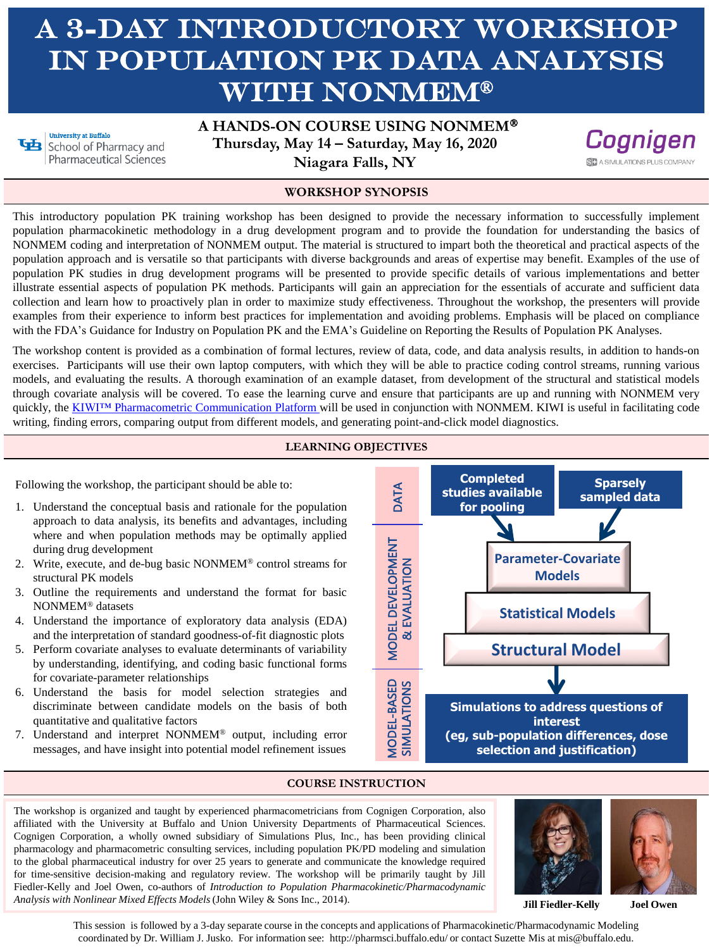# A 3-DAY INTRODUCTORY WORKSHOP IN POPULATION PK DATA ANALYSIS WITH NONMEM®

**University at Buffalo** School of Pharmacy and Pharmaceutical Sciences **A HANDS-ON COURSE USING NONMEM Thursday, May 14 – Saturday, May 16, 2020 Niagara Falls, NY**



#### **WORKSHOP SYNOPSIS**

This introductory population PK training workshop has been designed to provide the necessary information to successfully implement population pharmacokinetic methodology in a drug development program and to provide the foundation for understanding the basics of NONMEM coding and interpretation of NONMEM output. The material is structured to impart both the theoretical and practical aspects of the population approach and is versatile so that participants with diverse backgrounds and areas of expertise may benefit. Examples of the use of population PK studies in drug development programs will be presented to provide specific details of various implementations and better illustrate essential aspects of population PK methods. Participants will gain an appreciation for the essentials of accurate and sufficient data collection and learn how to proactively plan in order to maximize study effectiveness. Throughout the workshop, the presenters will provide examples from their experience to inform best practices for implementation and avoiding problems. Emphasis will be placed on compliance with the FDA's Guidance for Industry on Population PK and the EMA's Guideline on Reporting the Results of Population PK Analyses.

The workshop content is provided as a combination of formal lectures, review of data, code, and data analysis results, in addition to hands-on exercises. Participants will use their own laptop computers, with which they will be able to practice coding control streams, running various models, and evaluating the results. A thorough examination of an example dataset, from development of the structural and statistical models through covariate analysis will be covered. To ease the learning curve and ensure that participants are up and running with NONMEM very quickly, the KIWI™ [Pharmacometric](https://www.simulations-plus.com/software/kiwi/) Communication Platform will be used in conjunction with NONMEM. KIWI is useful in facilitating code writing, finding errors, comparing output from different models, and generating point-and-click model diagnostics.

### **LEARNING OBJECTIVES**

Following the workshop, the participant should be able to:

- 1. Understand the conceptual basis and rationale for the population approach to data analysis, its benefits and advantages, including where and when population methods may be optimally applied during drug development
- 2. Write, execute, and de-bug basic NONMEM® control streams for structural PK models
- 3. Outline the requirements and understand the format for basic NONMEM® datasets
- 4. Understand the importance of exploratory data analysis (EDA) and the interpretation of standard goodness-of-fit diagnostic plots
- 5. Perform covariate analyses to evaluate determinants of variability by understanding, identifying, and coding basic functional forms for covariate-parameter relationships
- 6. Understand the basis for model selection strategies and discriminate between candidate models on the basis of both quantitative and qualitative factors
- 7. Understand and interpret NONMEM® output, including error messages, and have insight into potential model refinement issues



#### **COURSE INSTRUCTION**

The workshop is organized and taught by experienced pharmacometricians from Cognigen Corporation, also affiliated with the University at Buffalo and Union University Departments of Pharmaceutical Sciences. Cognigen Corporation, a wholly owned subsidiary of Simulations Plus, Inc., has been providing clinical pharmacology and pharmacometric consulting services, including population PK/PD modeling and simulation to the global pharmaceutical industry for over 25 years to generate and communicate the knowledge required for time-sensitive decision-making and regulatory review. The workshop will be primarily taught by Jill Fiedler-Kelly and Joel Owen, co-authors of *Introduction to Population Pharmacokinetic/Pharmacodynamic Analysis with Nonlinear Mixed Effects Models* (John Wiley & Sons Inc., 2014).



**Jill Fiedler-Kelly**

**Joel Owen**

This session is followed by a 3-day separate course in the concepts and applications of Pharmacokinetic/Pharmacodynamic Modeling coordinated by Dr. William J. Jusko. For information see: http://pharmsci.buffalo.edu/ or contact Suzette Mis at mis@buffalo.edu.